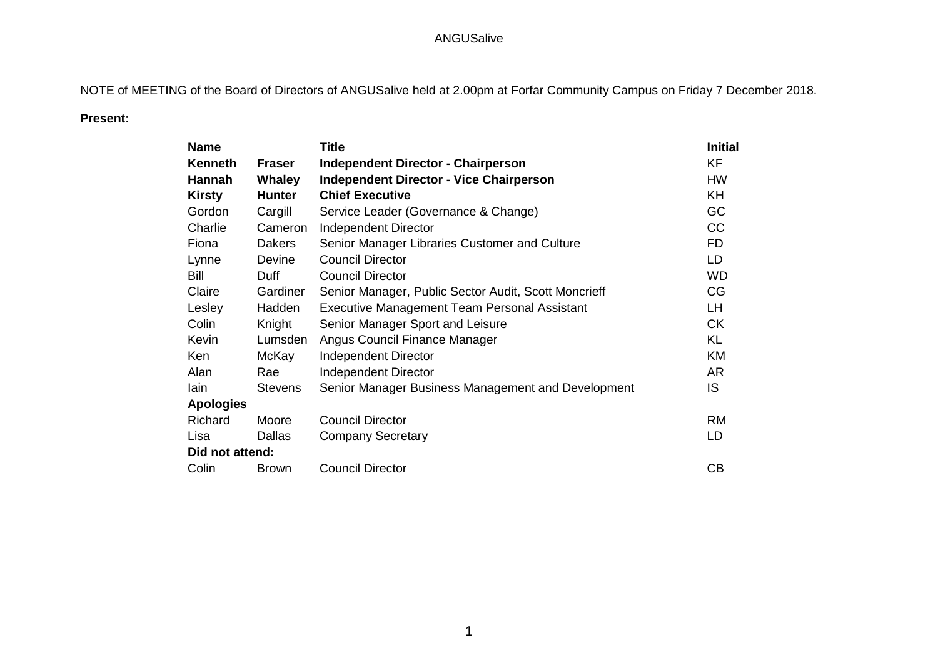NOTE of MEETING of the Board of Directors of ANGUSalive held at 2.00pm at Forfar Community Campus on Friday 7 December 2018.

### **Present:**

| <b>Name</b>      |                | <b>Title</b>                                         | <b>Initial</b> |
|------------------|----------------|------------------------------------------------------|----------------|
| Kenneth          | <b>Fraser</b>  | <b>Independent Director - Chairperson</b>            | <b>KF</b>      |
| <b>Hannah</b>    | <b>Whaley</b>  | <b>Independent Director - Vice Chairperson</b>       | <b>HW</b>      |
| <b>Kirsty</b>    | <b>Hunter</b>  | <b>Chief Executive</b>                               | <b>KH</b>      |
| Gordon           | Cargill        | Service Leader (Governance & Change)                 | GC             |
| Charlie          | Cameron        | Independent Director                                 | CC             |
| Fiona            | <b>Dakers</b>  | Senior Manager Libraries Customer and Culture        | F <sub>D</sub> |
| Lynne            | <b>Devine</b>  | <b>Council Director</b>                              | LD             |
| Bill             | Duff           | <b>Council Director</b>                              | <b>WD</b>      |
| Claire           | Gardiner       | Senior Manager, Public Sector Audit, Scott Moncrieff | CG             |
| Lesley           | Hadden         | <b>Executive Management Team Personal Assistant</b>  | LH             |
| Colin            | Knight         | Senior Manager Sport and Leisure                     | <b>CK</b>      |
| Kevin            | Lumsden        | Angus Council Finance Manager                        | <b>KL</b>      |
| Ken              | McKay          | <b>Independent Director</b>                          | KM             |
| Alan             | Rae            | <b>Independent Director</b>                          | AR             |
| lain             | <b>Stevens</b> | Senior Manager Business Management and Development   | IS.            |
| <b>Apologies</b> |                |                                                      |                |
| Richard          | Moore          | <b>Council Director</b>                              | <b>RM</b>      |
| Lisa             | Dallas         | <b>Company Secretary</b>                             | LD             |
| Did not attend:  |                |                                                      |                |
| Colin            | <b>Brown</b>   | <b>Council Director</b>                              | CB             |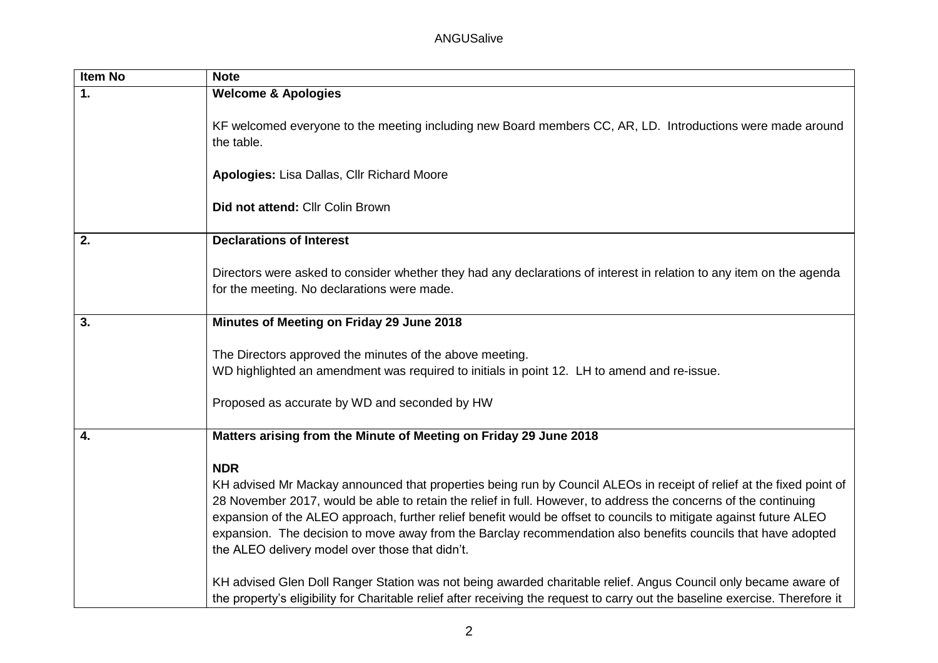| Item No       | <b>Note</b>                                                                                                                                                                                                                                                                                                                                                                                                                                                                                                                                                                                                                                                                                                                                                                                          |
|---------------|------------------------------------------------------------------------------------------------------------------------------------------------------------------------------------------------------------------------------------------------------------------------------------------------------------------------------------------------------------------------------------------------------------------------------------------------------------------------------------------------------------------------------------------------------------------------------------------------------------------------------------------------------------------------------------------------------------------------------------------------------------------------------------------------------|
| $\mathbf 1$ . | <b>Welcome &amp; Apologies</b>                                                                                                                                                                                                                                                                                                                                                                                                                                                                                                                                                                                                                                                                                                                                                                       |
|               | KF welcomed everyone to the meeting including new Board members CC, AR, LD. Introductions were made around<br>the table.                                                                                                                                                                                                                                                                                                                                                                                                                                                                                                                                                                                                                                                                             |
|               | Apologies: Lisa Dallas, Cllr Richard Moore                                                                                                                                                                                                                                                                                                                                                                                                                                                                                                                                                                                                                                                                                                                                                           |
|               | Did not attend: Cllr Colin Brown                                                                                                                                                                                                                                                                                                                                                                                                                                                                                                                                                                                                                                                                                                                                                                     |
| 2.            | <b>Declarations of Interest</b>                                                                                                                                                                                                                                                                                                                                                                                                                                                                                                                                                                                                                                                                                                                                                                      |
|               | Directors were asked to consider whether they had any declarations of interest in relation to any item on the agenda<br>for the meeting. No declarations were made.                                                                                                                                                                                                                                                                                                                                                                                                                                                                                                                                                                                                                                  |
| 3.            | Minutes of Meeting on Friday 29 June 2018                                                                                                                                                                                                                                                                                                                                                                                                                                                                                                                                                                                                                                                                                                                                                            |
|               | The Directors approved the minutes of the above meeting.<br>WD highlighted an amendment was required to initials in point 12. LH to amend and re-issue.<br>Proposed as accurate by WD and seconded by HW                                                                                                                                                                                                                                                                                                                                                                                                                                                                                                                                                                                             |
|               |                                                                                                                                                                                                                                                                                                                                                                                                                                                                                                                                                                                                                                                                                                                                                                                                      |
| 4.            | Matters arising from the Minute of Meeting on Friday 29 June 2018                                                                                                                                                                                                                                                                                                                                                                                                                                                                                                                                                                                                                                                                                                                                    |
|               | <b>NDR</b><br>KH advised Mr Mackay announced that properties being run by Council ALEOs in receipt of relief at the fixed point of<br>28 November 2017, would be able to retain the relief in full. However, to address the concerns of the continuing<br>expansion of the ALEO approach, further relief benefit would be offset to councils to mitigate against future ALEO<br>expansion. The decision to move away from the Barclay recommendation also benefits councils that have adopted<br>the ALEO delivery model over those that didn't.<br>KH advised Glen Doll Ranger Station was not being awarded charitable relief. Angus Council only became aware of<br>the property's eligibility for Charitable relief after receiving the request to carry out the baseline exercise. Therefore it |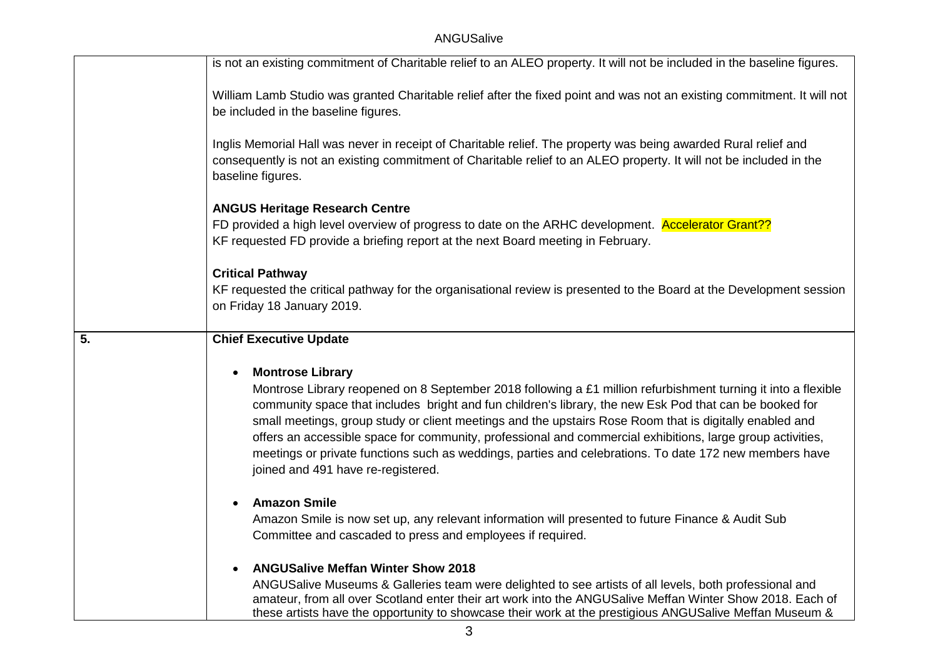|                  | is not an existing commitment of Charitable relief to an ALEO property. It will not be included in the baseline figures.                                                                                                                                                                                                                                                                                                                                                                                                                                                                                                                  |
|------------------|-------------------------------------------------------------------------------------------------------------------------------------------------------------------------------------------------------------------------------------------------------------------------------------------------------------------------------------------------------------------------------------------------------------------------------------------------------------------------------------------------------------------------------------------------------------------------------------------------------------------------------------------|
|                  | William Lamb Studio was granted Charitable relief after the fixed point and was not an existing commitment. It will not<br>be included in the baseline figures.                                                                                                                                                                                                                                                                                                                                                                                                                                                                           |
|                  | Inglis Memorial Hall was never in receipt of Charitable relief. The property was being awarded Rural relief and<br>consequently is not an existing commitment of Charitable relief to an ALEO property. It will not be included in the<br>baseline figures.                                                                                                                                                                                                                                                                                                                                                                               |
|                  | <b>ANGUS Heritage Research Centre</b><br>FD provided a high level overview of progress to date on the ARHC development. Accelerator Grant??<br>KF requested FD provide a briefing report at the next Board meeting in February.                                                                                                                                                                                                                                                                                                                                                                                                           |
|                  | <b>Critical Pathway</b><br>KF requested the critical pathway for the organisational review is presented to the Board at the Development session<br>on Friday 18 January 2019.                                                                                                                                                                                                                                                                                                                                                                                                                                                             |
| $\overline{5}$ . | <b>Chief Executive Update</b>                                                                                                                                                                                                                                                                                                                                                                                                                                                                                                                                                                                                             |
|                  | <b>Montrose Library</b><br>$\bullet$<br>Montrose Library reopened on 8 September 2018 following a £1 million refurbishment turning it into a flexible<br>community space that includes bright and fun children's library, the new Esk Pod that can be booked for<br>small meetings, group study or client meetings and the upstairs Rose Room that is digitally enabled and<br>offers an accessible space for community, professional and commercial exhibitions, large group activities,<br>meetings or private functions such as weddings, parties and celebrations. To date 172 new members have<br>joined and 491 have re-registered. |
|                  | <b>Amazon Smile</b><br>Amazon Smile is now set up, any relevant information will presented to future Finance & Audit Sub<br>Committee and cascaded to press and employees if required.                                                                                                                                                                                                                                                                                                                                                                                                                                                    |
|                  | <b>ANGUSalive Meffan Winter Show 2018</b><br>$\bullet$<br>ANGUSalive Museums & Galleries team were delighted to see artists of all levels, both professional and<br>amateur, from all over Scotland enter their art work into the ANGUSalive Meffan Winter Show 2018. Each of<br>these artists have the opportunity to showcase their work at the prestigious ANGUSalive Meffan Museum &                                                                                                                                                                                                                                                  |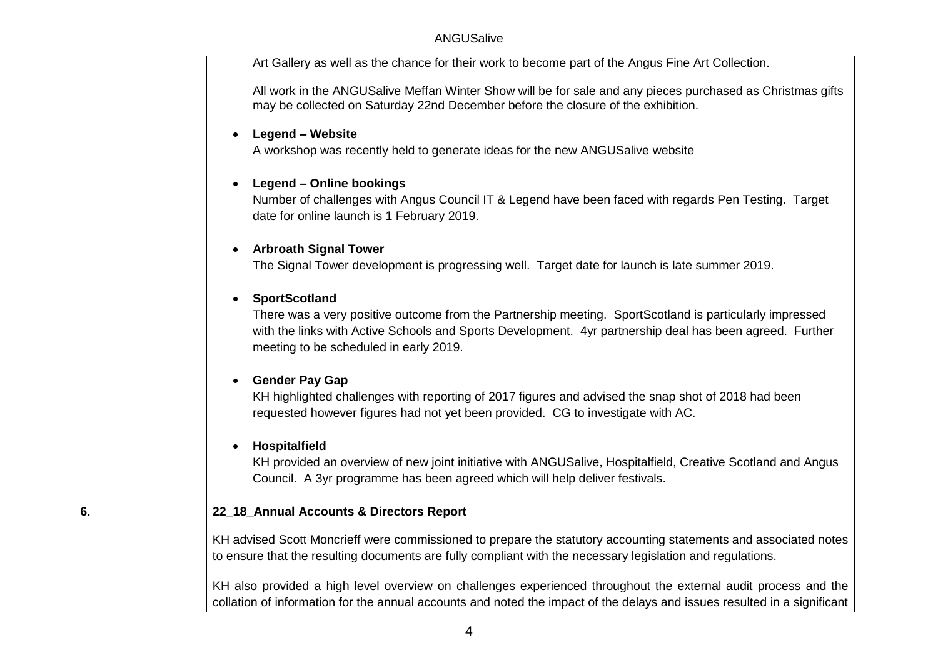|    | Art Gallery as well as the chance for their work to become part of the Angus Fine Art Collection.                                                                                                                                                             |
|----|---------------------------------------------------------------------------------------------------------------------------------------------------------------------------------------------------------------------------------------------------------------|
|    | All work in the ANGUSalive Meffan Winter Show will be for sale and any pieces purchased as Christmas gifts<br>may be collected on Saturday 22nd December before the closure of the exhibition.                                                                |
|    | <b>Legend – Website</b><br>$\bullet$                                                                                                                                                                                                                          |
|    | A workshop was recently held to generate ideas for the new ANGUSalive website                                                                                                                                                                                 |
|    | Legend - Online bookings<br>$\bullet$                                                                                                                                                                                                                         |
|    | Number of challenges with Angus Council IT & Legend have been faced with regards Pen Testing. Target<br>date for online launch is 1 February 2019.                                                                                                            |
|    | <b>Arbroath Signal Tower</b><br>$\bullet$                                                                                                                                                                                                                     |
|    | The Signal Tower development is progressing well. Target date for launch is late summer 2019.                                                                                                                                                                 |
|    | <b>SportScotland</b><br>$\bullet$                                                                                                                                                                                                                             |
|    | There was a very positive outcome from the Partnership meeting. SportScotland is particularly impressed<br>with the links with Active Schools and Sports Development. 4yr partnership deal has been agreed. Further<br>meeting to be scheduled in early 2019. |
|    | <b>Gender Pay Gap</b><br>$\bullet$                                                                                                                                                                                                                            |
|    | KH highlighted challenges with reporting of 2017 figures and advised the snap shot of 2018 had been<br>requested however figures had not yet been provided. CG to investigate with AC.                                                                        |
|    | Hospitalfield<br>$\bullet$                                                                                                                                                                                                                                    |
|    | KH provided an overview of new joint initiative with ANGUSalive, Hospitalfield, Creative Scotland and Angus<br>Council. A 3yr programme has been agreed which will help deliver festivals.                                                                    |
|    |                                                                                                                                                                                                                                                               |
| 6. | 22_18_Annual Accounts & Directors Report                                                                                                                                                                                                                      |
|    | KH advised Scott Moncrieff were commissioned to prepare the statutory accounting statements and associated notes<br>to ensure that the resulting documents are fully compliant with the necessary legislation and regulations.                                |
|    | KH also provided a high level overview on challenges experienced throughout the external audit process and the                                                                                                                                                |
|    | collation of information for the annual accounts and noted the impact of the delays and issues resulted in a significant                                                                                                                                      |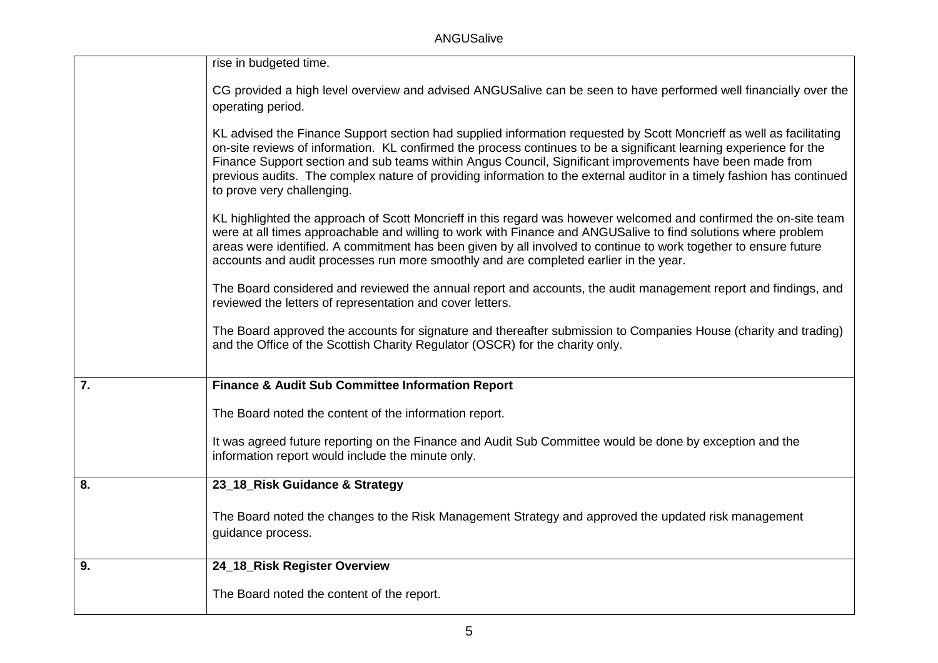ANGUSalive

|                  | rise in budgeted time.                                                                                                                                                                                                                                                                                                                                                                                                                                                                                         |
|------------------|----------------------------------------------------------------------------------------------------------------------------------------------------------------------------------------------------------------------------------------------------------------------------------------------------------------------------------------------------------------------------------------------------------------------------------------------------------------------------------------------------------------|
|                  | CG provided a high level overview and advised ANGUSalive can be seen to have performed well financially over the<br>operating period.                                                                                                                                                                                                                                                                                                                                                                          |
|                  | KL advised the Finance Support section had supplied information requested by Scott Moncrieff as well as facilitating<br>on-site reviews of information. KL confirmed the process continues to be a significant learning experience for the<br>Finance Support section and sub teams within Angus Council, Significant improvements have been made from<br>previous audits. The complex nature of providing information to the external auditor in a timely fashion has continued<br>to prove very challenging. |
|                  | KL highlighted the approach of Scott Moncrieff in this regard was however welcomed and confirmed the on-site team<br>were at all times approachable and willing to work with Finance and ANGUSalive to find solutions where problem<br>areas were identified. A commitment has been given by all involved to continue to work together to ensure future<br>accounts and audit processes run more smoothly and are completed earlier in the year.                                                               |
|                  | The Board considered and reviewed the annual report and accounts, the audit management report and findings, and<br>reviewed the letters of representation and cover letters.                                                                                                                                                                                                                                                                                                                                   |
|                  | The Board approved the accounts for signature and thereafter submission to Companies House (charity and trading)<br>and the Office of the Scottish Charity Regulator (OSCR) for the charity only.                                                                                                                                                                                                                                                                                                              |
| $\overline{7}$ . | <b>Finance &amp; Audit Sub Committee Information Report</b>                                                                                                                                                                                                                                                                                                                                                                                                                                                    |
|                  | The Board noted the content of the information report.                                                                                                                                                                                                                                                                                                                                                                                                                                                         |
|                  | It was agreed future reporting on the Finance and Audit Sub Committee would be done by exception and the<br>information report would include the minute only.                                                                                                                                                                                                                                                                                                                                                  |
| 8.               | 23_18_Risk Guidance & Strategy                                                                                                                                                                                                                                                                                                                                                                                                                                                                                 |
|                  | The Board noted the changes to the Risk Management Strategy and approved the updated risk management<br>guidance process.                                                                                                                                                                                                                                                                                                                                                                                      |
| $\overline{9}$ . | 24_18_Risk Register Overview                                                                                                                                                                                                                                                                                                                                                                                                                                                                                   |
|                  | The Board noted the content of the report.                                                                                                                                                                                                                                                                                                                                                                                                                                                                     |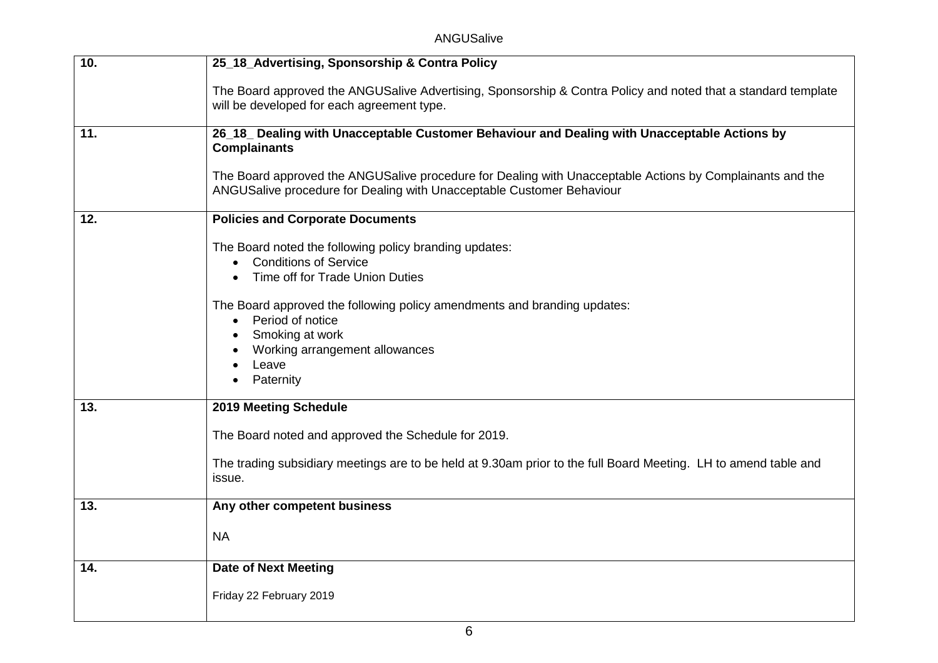ANGUSalive

| 10. | 25_18_Advertising, Sponsorship & Contra Policy                                                                                                                                     |
|-----|------------------------------------------------------------------------------------------------------------------------------------------------------------------------------------|
|     | The Board approved the ANGUSalive Advertising, Sponsorship & Contra Policy and noted that a standard template<br>will be developed for each agreement type.                        |
| 11. | 26_18_ Dealing with Unacceptable Customer Behaviour and Dealing with Unacceptable Actions by<br><b>Complainants</b>                                                                |
|     | The Board approved the ANGUSalive procedure for Dealing with Unacceptable Actions by Complainants and the<br>ANGUSalive procedure for Dealing with Unacceptable Customer Behaviour |
| 12. | <b>Policies and Corporate Documents</b>                                                                                                                                            |
|     | The Board noted the following policy branding updates:<br><b>Conditions of Service</b><br>Time off for Trade Union Duties                                                          |
|     | $\bullet$                                                                                                                                                                          |
|     | The Board approved the following policy amendments and branding updates:<br>Period of notice                                                                                       |
|     | Smoking at work                                                                                                                                                                    |
|     | Working arrangement allowances                                                                                                                                                     |
|     | Leave<br>Paternity                                                                                                                                                                 |
| 13. | 2019 Meeting Schedule                                                                                                                                                              |
|     | The Board noted and approved the Schedule for 2019.                                                                                                                                |
|     | The trading subsidiary meetings are to be held at 9.30am prior to the full Board Meeting. LH to amend table and<br>issue.                                                          |
| 13. | Any other competent business                                                                                                                                                       |
|     | <b>NA</b>                                                                                                                                                                          |
| 14. | <b>Date of Next Meeting</b>                                                                                                                                                        |
|     | Friday 22 February 2019                                                                                                                                                            |
|     |                                                                                                                                                                                    |